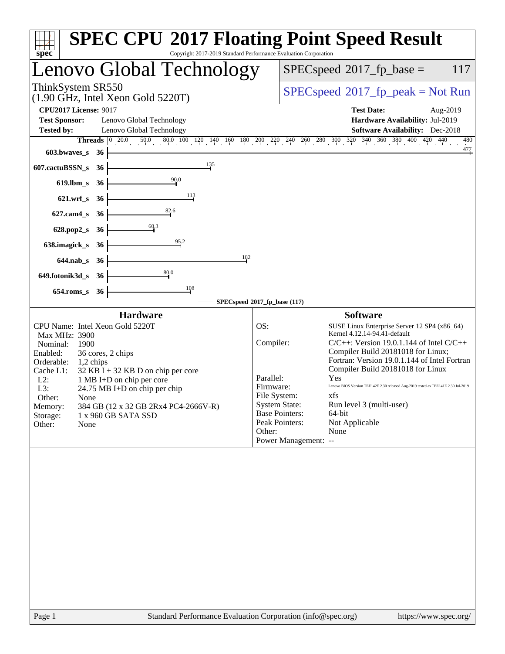| Copyright 2017-2019 Standard Performance Evaluation Corporation<br>spec <sup>®</sup>     | <b>SPEC CPU®2017 Floating Point Speed Result</b>                                                                                        |
|------------------------------------------------------------------------------------------|-----------------------------------------------------------------------------------------------------------------------------------------|
| Lenovo Global Technology                                                                 | $SPEC speed^{\circ}2017$ _fp_base =<br>117                                                                                              |
| ThinkSystem SR550<br>$(1.90 \text{ GHz}, \text{Intel Xeon Gold } 5220 \text{T})$         | $SPEC speed^{\circ}2017\_fp\_peak = Not Run$                                                                                            |
| <b>CPU2017 License: 9017</b>                                                             | <b>Test Date:</b><br>Aug-2019                                                                                                           |
| <b>Test Sponsor:</b><br>Lenovo Global Technology                                         | Hardware Availability: Jul-2019                                                                                                         |
| <b>Tested by:</b><br>Lenovo Global Technology                                            | <b>Software Availability:</b> Dec-2018                                                                                                  |
| <b>Threads</b><br> 0 20.0                                                                | $20.0$ $50.0$ $80.0$ $100$ $120$ $140$ $160$ $180$ $200$ $220$ $240$ $260$ $280$ $300$ $320$ $340$ $360$ $380$ $400$ $420$ $440$<br>480 |
| 603.bwaves_s<br>- 36                                                                     | $\frac{477}{4}$                                                                                                                         |
| $\frac{135}{2}$<br>607.cactuBSSN_s<br>36                                                 |                                                                                                                                         |
| $\frac{90.0}{4}$<br>$619$ .lbm_s<br>- 36                                                 |                                                                                                                                         |
| 113<br>$621.wrf_s$<br>- 36                                                               |                                                                                                                                         |
| $\frac{82}{1}$<br>$627$ .cam $4$ <sub>_S</sub><br>- 36                                   |                                                                                                                                         |
| 60.3<br>628.pop2_s 36                                                                    |                                                                                                                                         |
| $\frac{95.2}{4}$<br>638.imagick_s<br>36                                                  |                                                                                                                                         |
| 182<br>644.nab_s 36                                                                      |                                                                                                                                         |
| 80.0<br>649.fotonik3d_s<br>- 36                                                          |                                                                                                                                         |
| 108<br>$654$ .roms_s<br>36                                                               |                                                                                                                                         |
|                                                                                          | SPECspeed®2017_fp_base (117)                                                                                                            |
| <b>Hardware</b>                                                                          | <b>Software</b>                                                                                                                         |
| CPU Name: Intel Xeon Gold 5220T                                                          | OS:<br>SUSE Linux Enterprise Server 12 SP4 (x86_64)<br>Kernel 4.12.14-94.41-default                                                     |
| Max MHz: 3900<br>Nominal:<br>1900                                                        | Compiler:<br>$C/C++$ : Version 19.0.1.144 of Intel $C/C++$                                                                              |
| Enabled:<br>36 cores, 2 chips                                                            | Compiler Build 20181018 for Linux;                                                                                                      |
| Orderable:<br>1,2 chips                                                                  | Fortran: Version 19.0.1.144 of Intel Fortran                                                                                            |
| Cache L1:<br>$32$ KB I + 32 KB D on chip per core<br>$L2$ :<br>1 MB I+D on chip per core | Compiler Build 20181018 for Linux<br>Parallel:<br>Yes                                                                                   |
| L3:<br>24.75 MB I+D on chip per chip                                                     | Lenovo BIOS Version TEE142E 2.30 released Aug-2019 tested as TEE141E 2.30 Jul-2019<br>Firmware:                                         |
| Other:<br>None                                                                           | File System:<br>xfs.                                                                                                                    |
| 384 GB (12 x 32 GB 2Rx4 PC4-2666V-R)<br>Memory:                                          | <b>System State:</b><br>Run level 3 (multi-user)<br><b>Base Pointers:</b><br>64-bit                                                     |
| 1 x 960 GB SATA SSD<br>Storage:<br>Other:<br>None                                        | Peak Pointers:<br>Not Applicable                                                                                                        |
|                                                                                          | None<br>Other:                                                                                                                          |
|                                                                                          | Power Management: --                                                                                                                    |
|                                                                                          |                                                                                                                                         |
| Standard Performance Evaluation Corporation (info@spec.org)<br>Page 1                    | https://www.spec.org/                                                                                                                   |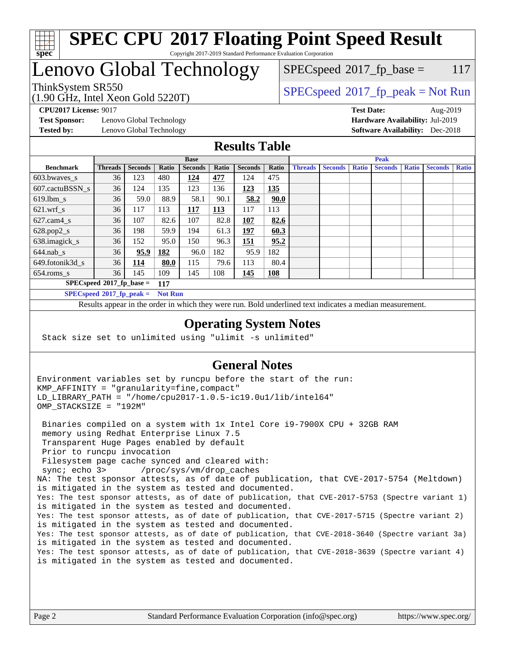

#### **[SPEC CPU](http://www.spec.org/auto/cpu2017/Docs/result-fields.html#SPECCPU2017FloatingPointSpeedResult)[2017 Floating Point Speed Result](http://www.spec.org/auto/cpu2017/Docs/result-fields.html#SPECCPU2017FloatingPointSpeedResult)** Copyright 2017-2019 Standard Performance Evaluation Corporation

## Lenovo Global Technology

(1.90 GHz, Intel Xeon Gold 5220T)

ThinkSystem SR550<br>  $\begin{array}{c}\n\text{SPEC speed} \text{?}2017\_fp\_peak = Not Run \\
\text{SPEC speed} \text{?}2017\_fp\_peak = Not Run\n\end{array}$  $SPEC speed^{\circ}2017\_fp\_base = 117$ 

**[Test Sponsor:](http://www.spec.org/auto/cpu2017/Docs/result-fields.html#TestSponsor)** Lenovo Global Technology **[Hardware Availability:](http://www.spec.org/auto/cpu2017/Docs/result-fields.html#HardwareAvailability)** Jul-2019 **[Tested by:](http://www.spec.org/auto/cpu2017/Docs/result-fields.html#Testedby)** Lenovo Global Technology **[Software Availability:](http://www.spec.org/auto/cpu2017/Docs/result-fields.html#SoftwareAvailability)** Dec-2018

**[CPU2017 License:](http://www.spec.org/auto/cpu2017/Docs/result-fields.html#CPU2017License)** 9017 **[Test Date:](http://www.spec.org/auto/cpu2017/Docs/result-fields.html#TestDate)** Aug-2019

## **[Results Table](http://www.spec.org/auto/cpu2017/Docs/result-fields.html#ResultsTable)**

|                  | <b>Base</b>                 |                |                |                |       | <b>Peak</b>    |            |                |                |              |                |              |                |              |
|------------------|-----------------------------|----------------|----------------|----------------|-------|----------------|------------|----------------|----------------|--------------|----------------|--------------|----------------|--------------|
| <b>Benchmark</b> | <b>Threads</b>              | <b>Seconds</b> | Ratio          | <b>Seconds</b> | Ratio | <b>Seconds</b> | Ratio      | <b>Threads</b> | <b>Seconds</b> | <b>Ratio</b> | <b>Seconds</b> | <b>Ratio</b> | <b>Seconds</b> | <b>Ratio</b> |
| 603.bwayes s     | 36                          | 123            | 480            | 124            | 477   | 124            | 475        |                |                |              |                |              |                |              |
| 607.cactuBSSN s  | 36                          | 124            | 135            | 123            | 136   | 123            | 135        |                |                |              |                |              |                |              |
| $619.$ lbm s     | 36                          | 59.0           | 88.9           | 58.1           | 90.1  | 58.2           | 90.0       |                |                |              |                |              |                |              |
| $621.wrf$ s      | 36                          | 117            | 113            | 117            | 113   | 117            | 113        |                |                |              |                |              |                |              |
| $627$ .cam4 s    | 36                          | 107            | 82.6           | 107            | 82.8  | 107            | 82.6       |                |                |              |                |              |                |              |
| $628.pop2_s$     | 36                          | 198            | 59.9           | 194            | 61.3  | 197            | 60.3       |                |                |              |                |              |                |              |
| 638.imagick_s    | 36                          | 152            | 95.0           | 150            | 96.3  | 151            | 95.2       |                |                |              |                |              |                |              |
| $644$ .nab s     | 36                          | 95.9           | <u>182</u>     | 96.0           | 182   | 95.9           | 182        |                |                |              |                |              |                |              |
| 649.fotonik3d s  | 36                          | <u> 114</u>    | 80.0           | 115            | 79.6  | 113            | 80.4       |                |                |              |                |              |                |              |
| $654$ .roms s    | 36                          | 145            | 109            | 145            | 108   | 145            | <b>108</b> |                |                |              |                |              |                |              |
|                  | $SPECspeed*2017_fp\_base =$ |                | 117            |                |       |                |            |                |                |              |                |              |                |              |
|                  | $SPECspeed*2017_fp\_peak =$ |                | <b>Not Run</b> |                |       |                |            |                |                |              |                |              |                |              |

Results appear in the [order in which they were run.](http://www.spec.org/auto/cpu2017/Docs/result-fields.html#RunOrder) Bold underlined text [indicates a median measurement](http://www.spec.org/auto/cpu2017/Docs/result-fields.html#Median).

### **[Operating System Notes](http://www.spec.org/auto/cpu2017/Docs/result-fields.html#OperatingSystemNotes)**

Stack size set to unlimited using "ulimit -s unlimited"

## **[General Notes](http://www.spec.org/auto/cpu2017/Docs/result-fields.html#GeneralNotes)**

Environment variables set by runcpu before the start of the run: KMP\_AFFINITY = "granularity=fine,compact" LD\_LIBRARY\_PATH = "/home/cpu2017-1.0.5-ic19.0u1/lib/intel64" OMP\_STACKSIZE = "192M"

 Binaries compiled on a system with 1x Intel Core i9-7900X CPU + 32GB RAM memory using Redhat Enterprise Linux 7.5 Transparent Huge Pages enabled by default Prior to runcpu invocation Filesystem page cache synced and cleared with: sync; echo 3> /proc/sys/vm/drop\_caches NA: The test sponsor attests, as of date of publication, that CVE-2017-5754 (Meltdown) is mitigated in the system as tested and documented. Yes: The test sponsor attests, as of date of publication, that CVE-2017-5753 (Spectre variant 1) is mitigated in the system as tested and documented. Yes: The test sponsor attests, as of date of publication, that CVE-2017-5715 (Spectre variant 2) is mitigated in the system as tested and documented. Yes: The test sponsor attests, as of date of publication, that CVE-2018-3640 (Spectre variant 3a) is mitigated in the system as tested and documented. Yes: The test sponsor attests, as of date of publication, that CVE-2018-3639 (Spectre variant 4) is mitigated in the system as tested and documented.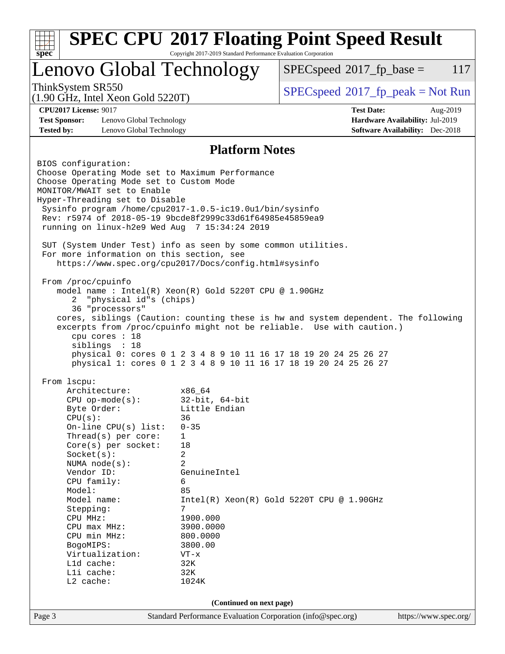| <b>SPEC CPU®2017 Floating Point Speed Result</b><br>$spec^*$                                                                                                                                                                                                                                                                                                                                                                     | Copyright 2017-2019 Standard Performance Evaluation Corporation                                                                                   |                                                                                                                                      |                                        |          |
|----------------------------------------------------------------------------------------------------------------------------------------------------------------------------------------------------------------------------------------------------------------------------------------------------------------------------------------------------------------------------------------------------------------------------------|---------------------------------------------------------------------------------------------------------------------------------------------------|--------------------------------------------------------------------------------------------------------------------------------------|----------------------------------------|----------|
| Lenovo Global Technology                                                                                                                                                                                                                                                                                                                                                                                                         |                                                                                                                                                   | $SPEC speed^{\circ}2017$ fp base =                                                                                                   |                                        | 117      |
| ThinkSystem SR550<br>$(1.90 \text{ GHz}, \text{Intel Xeon Gold } 5220 \text{T})$                                                                                                                                                                                                                                                                                                                                                 |                                                                                                                                                   | $SPEC speed^{\circ}2017\_fp\_peak = Not Run$                                                                                         |                                        |          |
| <b>CPU2017 License: 9017</b>                                                                                                                                                                                                                                                                                                                                                                                                     |                                                                                                                                                   | <b>Test Date:</b>                                                                                                                    |                                        | Aug-2019 |
| <b>Test Sponsor:</b><br>Lenovo Global Technology                                                                                                                                                                                                                                                                                                                                                                                 |                                                                                                                                                   |                                                                                                                                      | Hardware Availability: Jul-2019        |          |
| <b>Tested by:</b><br>Lenovo Global Technology                                                                                                                                                                                                                                                                                                                                                                                    |                                                                                                                                                   |                                                                                                                                      | <b>Software Availability:</b> Dec-2018 |          |
|                                                                                                                                                                                                                                                                                                                                                                                                                                  | <b>Platform Notes</b>                                                                                                                             |                                                                                                                                      |                                        |          |
| BIOS configuration:<br>Choose Operating Mode set to Maximum Performance<br>Choose Operating Mode set to Custom Mode<br>MONITOR/MWAIT set to Enable<br>Hyper-Threading set to Disable<br>Sysinfo program /home/cpu2017-1.0.5-ic19.0ul/bin/sysinfo<br>Rev: r5974 of 2018-05-19 9bcde8f2999c33d61f64985e45859ea9<br>running on linux-h2e9 Wed Aug 7 15:34:24 2019<br>SUT (System Under Test) info as seen by some common utilities. |                                                                                                                                                   |                                                                                                                                      |                                        |          |
| For more information on this section, see<br>https://www.spec.org/cpu2017/Docs/config.html#sysinfo<br>From /proc/cpuinfo<br>model name: $Intel(R)$ Xeon $(R)$ Gold 5220T CPU @ 1.90GHz<br>"physical id"s (chips)<br>2<br>36 "processors"<br>cores, siblings (Caution: counting these is hw and system dependent. The following<br>excerpts from /proc/cpuinfo might not be reliable. Use with caution.)                          |                                                                                                                                                   |                                                                                                                                      |                                        |          |
| cpu cores : 18<br>siblings : 18                                                                                                                                                                                                                                                                                                                                                                                                  |                                                                                                                                                   | physical 0: cores 0 1 2 3 4 8 9 10 11 16 17 18 19 20 24 25 26 27<br>physical 1: cores 0 1 2 3 4 8 9 10 11 16 17 18 19 20 24 25 26 27 |                                        |          |
| From lscpu:                                                                                                                                                                                                                                                                                                                                                                                                                      |                                                                                                                                                   |                                                                                                                                      |                                        |          |
| $CPU$ op-mode( $s$ ):<br>Byte Order:<br>CPU(s):<br>On-line CPU(s) list:<br>Thread(s) per core:<br>Core(s) per socket:<br>Socket(s):<br>NUMA node(s):<br>Vendor ID:<br>CPU family:<br>Model:<br>Model name:<br>Stepping:<br>CPU MHz:<br>$CPU$ max $MHz$ :<br>CPU min MHz:                                                                                                                                                         | $32$ -bit, $64$ -bit<br>Little Endian<br>36<br>$0 - 35$<br>1<br>18<br>2<br>2<br>GenuineIntel<br>6<br>85<br>7<br>1900.000<br>3900.0000<br>800.0000 | $Intel(R) Xeon(R) Gold 5220T CPU @ 1.90GHz$                                                                                          |                                        |          |
| BogoMIPS:<br>Virtualization:<br>L1d cache:<br>Lli cache:<br>L2 cache:                                                                                                                                                                                                                                                                                                                                                            | 3800.00<br>$VT - x$<br>32K<br>32K<br>1024K                                                                                                        |                                                                                                                                      |                                        |          |
|                                                                                                                                                                                                                                                                                                                                                                                                                                  | (Continued on next page)                                                                                                                          |                                                                                                                                      |                                        |          |
|                                                                                                                                                                                                                                                                                                                                                                                                                                  |                                                                                                                                                   |                                                                                                                                      |                                        |          |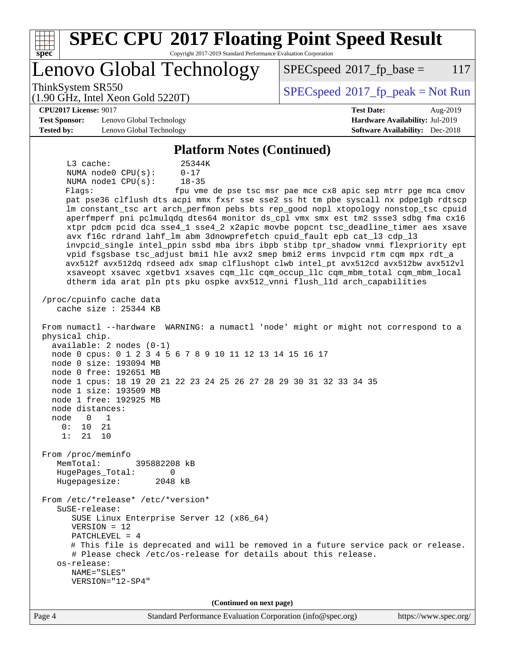| <b>SPEC CPU®2017 Floating Point Speed Result</b>                                                                                                                                                                                                                                                                                                                                                                                                                                                                                                                                                                                                                                                                                                                                                                                                                                                                                                                                                                                                                                                                                                                                                                                                                                                                                                                                                                                                                                                                                                                                                                                                                                                                                                                                                                                                                                                                                                                                                              |                                                                           |  |  |  |  |  |  |
|---------------------------------------------------------------------------------------------------------------------------------------------------------------------------------------------------------------------------------------------------------------------------------------------------------------------------------------------------------------------------------------------------------------------------------------------------------------------------------------------------------------------------------------------------------------------------------------------------------------------------------------------------------------------------------------------------------------------------------------------------------------------------------------------------------------------------------------------------------------------------------------------------------------------------------------------------------------------------------------------------------------------------------------------------------------------------------------------------------------------------------------------------------------------------------------------------------------------------------------------------------------------------------------------------------------------------------------------------------------------------------------------------------------------------------------------------------------------------------------------------------------------------------------------------------------------------------------------------------------------------------------------------------------------------------------------------------------------------------------------------------------------------------------------------------------------------------------------------------------------------------------------------------------------------------------------------------------------------------------------------------------|---------------------------------------------------------------------------|--|--|--|--|--|--|
| Copyright 2017-2019 Standard Performance Evaluation Corporation<br>spec®<br>Lenovo Global Technology                                                                                                                                                                                                                                                                                                                                                                                                                                                                                                                                                                                                                                                                                                                                                                                                                                                                                                                                                                                                                                                                                                                                                                                                                                                                                                                                                                                                                                                                                                                                                                                                                                                                                                                                                                                                                                                                                                          | $SPEC speed^{\circ}2017$ _fp_base =<br>117                                |  |  |  |  |  |  |
| ThinkSystem SR550                                                                                                                                                                                                                                                                                                                                                                                                                                                                                                                                                                                                                                                                                                                                                                                                                                                                                                                                                                                                                                                                                                                                                                                                                                                                                                                                                                                                                                                                                                                                                                                                                                                                                                                                                                                                                                                                                                                                                                                             |                                                                           |  |  |  |  |  |  |
| $(1.90 \text{ GHz}, \text{Intel Xeon Gold } 5220 \text{T})$                                                                                                                                                                                                                                                                                                                                                                                                                                                                                                                                                                                                                                                                                                                                                                                                                                                                                                                                                                                                                                                                                                                                                                                                                                                                                                                                                                                                                                                                                                                                                                                                                                                                                                                                                                                                                                                                                                                                                   | $SPEC speed$ <sup>®</sup> 2017_fp_peak = Not Run                          |  |  |  |  |  |  |
| <b>CPU2017 License: 9017</b>                                                                                                                                                                                                                                                                                                                                                                                                                                                                                                                                                                                                                                                                                                                                                                                                                                                                                                                                                                                                                                                                                                                                                                                                                                                                                                                                                                                                                                                                                                                                                                                                                                                                                                                                                                                                                                                                                                                                                                                  | <b>Test Date:</b><br>Aug-2019                                             |  |  |  |  |  |  |
| <b>Test Sponsor:</b><br>Lenovo Global Technology<br><b>Tested by:</b><br>Lenovo Global Technology                                                                                                                                                                                                                                                                                                                                                                                                                                                                                                                                                                                                                                                                                                                                                                                                                                                                                                                                                                                                                                                                                                                                                                                                                                                                                                                                                                                                                                                                                                                                                                                                                                                                                                                                                                                                                                                                                                             | Hardware Availability: Jul-2019<br><b>Software Availability:</b> Dec-2018 |  |  |  |  |  |  |
|                                                                                                                                                                                                                                                                                                                                                                                                                                                                                                                                                                                                                                                                                                                                                                                                                                                                                                                                                                                                                                                                                                                                                                                                                                                                                                                                                                                                                                                                                                                                                                                                                                                                                                                                                                                                                                                                                                                                                                                                               |                                                                           |  |  |  |  |  |  |
| <b>Platform Notes (Continued)</b><br>L3 cache:<br>25344K<br>NUMA node0 CPU(s):<br>$0 - 17$<br>NUMA nodel CPU(s):<br>$18 - 35$<br>Flags:<br>fpu vme de pse tsc msr pae mce cx8 apic sep mtrr pge mca cmov<br>pat pse36 clflush dts acpi mmx fxsr sse sse2 ss ht tm pbe syscall nx pdpelgb rdtscp<br>lm constant_tsc art arch_perfmon pebs bts rep_good nopl xtopology nonstop_tsc cpuid<br>aperfmperf pni pclmulqdq dtes64 monitor ds_cpl vmx smx est tm2 ssse3 sdbg fma cx16<br>xtpr pdcm pcid dca sse4_1 sse4_2 x2apic movbe popcnt tsc_deadline_timer aes xsave<br>avx f16c rdrand lahf_lm abm 3dnowprefetch cpuid_fault epb cat_13 cdp_13<br>invpcid_single intel_ppin ssbd mba ibrs ibpb stibp tpr_shadow vnmi flexpriority ept<br>vpid fsgsbase tsc_adjust bmil hle avx2 smep bmi2 erms invpcid rtm cqm mpx rdt_a<br>avx512f avx512dq rdseed adx smap clflushopt clwb intel_pt avx512cd avx512bw avx512vl<br>xsaveopt xsavec xgetbvl xsaves cqm_llc cqm_occup_llc cqm_mbm_total cqm_mbm_local<br>dtherm ida arat pln pts pku ospke avx512_vnni flush_lld arch_capabilities<br>/proc/cpuinfo cache data<br>cache size : 25344 KB<br>From numactl --hardware WARNING: a numactl 'node' might or might not correspond to a<br>physical chip.<br>$available: 2 nodes (0-1)$<br>node 0 cpus: 0 1 2 3 4 5 6 7 8 9 10 11 12 13 14 15 16 17<br>node 0 size: 193094 MB<br>node 0 free: 192651 MB<br>node 1 cpus: 18 19 20 21 22 23 24 25 26 27 28 29 30 31 32 33 34 35<br>node 1 size: 193509 MB<br>node 1 free: 192925 MB<br>node distances:<br>node<br>$\Omega$<br>1<br>0:<br>21<br>10<br>1:<br>21<br>10<br>From /proc/meminfo<br>MemTotal:<br>395882208 kB<br>HugePages_Total:<br>0<br>Hugepagesize:<br>2048 kB<br>From /etc/*release* /etc/*version*<br>SuSE-release:<br>SUSE Linux Enterprise Server 12 (x86_64)<br>$VERSION = 12$<br>PATCHLEVEL = 4<br># This file is deprecated and will be removed in a future service pack or release.<br># Please check /etc/os-release for details about this release. |                                                                           |  |  |  |  |  |  |
| VERSION="12-SP4"                                                                                                                                                                                                                                                                                                                                                                                                                                                                                                                                                                                                                                                                                                                                                                                                                                                                                                                                                                                                                                                                                                                                                                                                                                                                                                                                                                                                                                                                                                                                                                                                                                                                                                                                                                                                                                                                                                                                                                                              |                                                                           |  |  |  |  |  |  |
| (Continued on next page)<br>Page 4<br>Standard Performance Evaluation Corporation (info@spec.org)                                                                                                                                                                                                                                                                                                                                                                                                                                                                                                                                                                                                                                                                                                                                                                                                                                                                                                                                                                                                                                                                                                                                                                                                                                                                                                                                                                                                                                                                                                                                                                                                                                                                                                                                                                                                                                                                                                             | https://www.spec.org/                                                     |  |  |  |  |  |  |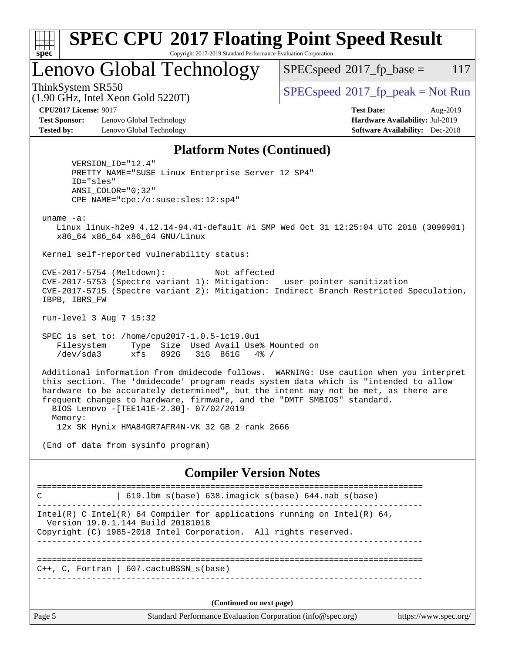| <b>SPEC CPU®2017 Floating Point Speed Result</b>                                 |                                            |  |  |  |  |  |
|----------------------------------------------------------------------------------|--------------------------------------------|--|--|--|--|--|
| $Spec^*$<br>Copyright 2017-2019 Standard Performance Evaluation Corporation      |                                            |  |  |  |  |  |
| Lenovo Global Technology                                                         | $SPEC speed^{\circ}2017$ _fp_base =<br>117 |  |  |  |  |  |
| ThinkSystem SR550<br>$(1.90 \text{ GHz}, \text{Intel Xeon Gold } 5220 \text{T})$ | $SPEC speed^{\circ}2017$ fp peak = Not Run |  |  |  |  |  |
| <b>CPU2017 License: 9017</b>                                                     | <b>Test Date:</b><br>Aug-2019              |  |  |  |  |  |
| Lenovo Global Technology<br><b>Test Sponsor:</b>                                 | Hardware Availability: Jul-2019            |  |  |  |  |  |

**[Tested by:](http://www.spec.org/auto/cpu2017/Docs/result-fields.html#Testedby)** Lenovo Global Technology **[Software Availability:](http://www.spec.org/auto/cpu2017/Docs/result-fields.html#SoftwareAvailability)** Dec-2018

#### **[Platform Notes \(Continued\)](http://www.spec.org/auto/cpu2017/Docs/result-fields.html#PlatformNotes)**

 VERSION\_ID="12.4" PRETTY\_NAME="SUSE Linux Enterprise Server 12 SP4" ID="sles" ANSI\_COLOR="0;32" CPE\_NAME="cpe:/o:suse:sles:12:sp4"

uname -a:

 Linux linux-h2e9 4.12.14-94.41-default #1 SMP Wed Oct 31 12:25:04 UTC 2018 (3090901) x86\_64 x86\_64 x86\_64 GNU/Linux

Kernel self-reported vulnerability status:

 CVE-2017-5754 (Meltdown): Not affected CVE-2017-5753 (Spectre variant 1): Mitigation: \_\_user pointer sanitization CVE-2017-5715 (Spectre variant 2): Mitigation: Indirect Branch Restricted Speculation, IBPB, IBRS\_FW

run-level 3 Aug 7 15:32

 SPEC is set to: /home/cpu2017-1.0.5-ic19.0u1 Filesystem Type Size Used Avail Use% Mounted on /dev/sda3 xfs 892G 31G 861G 4% /

 Additional information from dmidecode follows. WARNING: Use caution when you interpret this section. The 'dmidecode' program reads system data which is "intended to allow hardware to be accurately determined", but the intent may not be met, as there are frequent changes to hardware, firmware, and the "DMTF SMBIOS" standard. BIOS Lenovo -[TEE141E-2.30]- 07/02/2019 Memory:

12x SK Hynix HMA84GR7AFR4N-VK 32 GB 2 rank 2666

(End of data from sysinfo program)

#### **[Compiler Version Notes](http://www.spec.org/auto/cpu2017/Docs/result-fields.html#CompilerVersionNotes)**

| C      | $619.1$ bm_s(base) $638.imagick_s(base)$ $644.nab_s(base)$                                                    |                       |
|--------|---------------------------------------------------------------------------------------------------------------|-----------------------|
|        | Intel(R) C Intel(R) 64 Compiler for applications running on Intel(R) 64,<br>Version 19.0.1.144 Build 20181018 |                       |
|        | Copyright (C) 1985-2018 Intel Corporation. All rights reserved.                                               |                       |
|        |                                                                                                               |                       |
|        |                                                                                                               |                       |
|        | $C++$ , C, Fortran   607. cactuBSSN $s(base)$                                                                 |                       |
|        |                                                                                                               |                       |
|        |                                                                                                               |                       |
|        | (Continued on next page)                                                                                      |                       |
| Page 5 | Standard Performance Evaluation Corporation (info@spec.org)                                                   | https://www.spec.org/ |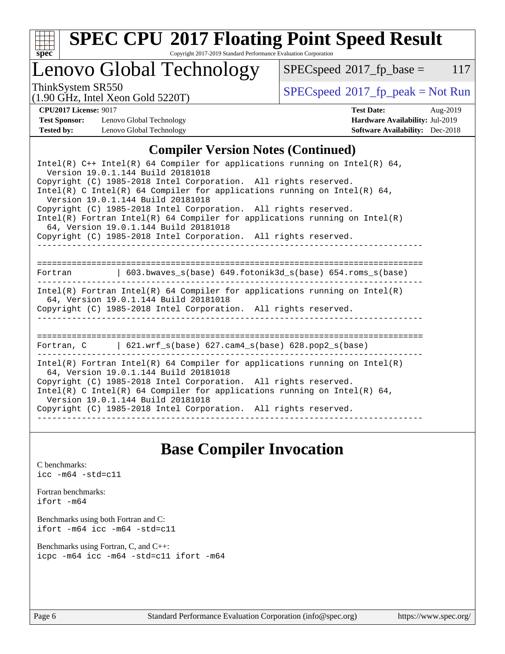

# **[SPEC CPU](http://www.spec.org/auto/cpu2017/Docs/result-fields.html#SPECCPU2017FloatingPointSpeedResult)[2017 Floating Point Speed Result](http://www.spec.org/auto/cpu2017/Docs/result-fields.html#SPECCPU2017FloatingPointSpeedResult)**

Copyright 2017-2019 Standard Performance Evaluation Corporation

## Lenovo Global Technology

 $SPECspeed^{\circ}2017_fp\_base = 117$  $SPECspeed^{\circ}2017_fp\_base = 117$ 

(1.90 GHz, Intel Xeon Gold 5220T)

ThinkSystem SR550<br>(1.00 GHz, Intel Year Gold 5220T) [SPECspeed](http://www.spec.org/auto/cpu2017/Docs/result-fields.html#SPECspeed2017fppeak)<sup>®</sup>[2017\\_fp\\_peak = N](http://www.spec.org/auto/cpu2017/Docs/result-fields.html#SPECspeed2017fppeak)ot Run

**[Test Sponsor:](http://www.spec.org/auto/cpu2017/Docs/result-fields.html#TestSponsor)** Lenovo Global Technology **[Hardware Availability:](http://www.spec.org/auto/cpu2017/Docs/result-fields.html#HardwareAvailability)** Jul-2019 **[Tested by:](http://www.spec.org/auto/cpu2017/Docs/result-fields.html#Testedby)** Lenovo Global Technology **[Software Availability:](http://www.spec.org/auto/cpu2017/Docs/result-fields.html#SoftwareAvailability)** Dec-2018

**[CPU2017 License:](http://www.spec.org/auto/cpu2017/Docs/result-fields.html#CPU2017License)** 9017 **[Test Date:](http://www.spec.org/auto/cpu2017/Docs/result-fields.html#TestDate)** Aug-2019

### **[Compiler Version Notes \(Continued\)](http://www.spec.org/auto/cpu2017/Docs/result-fields.html#CompilerVersionNotes)**

## **[Base Compiler Invocation](http://www.spec.org/auto/cpu2017/Docs/result-fields.html#BaseCompilerInvocation)**

[C benchmarks](http://www.spec.org/auto/cpu2017/Docs/result-fields.html#Cbenchmarks): [icc -m64 -std=c11](http://www.spec.org/cpu2017/results/res2019q3/cpu2017-20190819-17154.flags.html#user_CCbase_intel_icc_64bit_c11_33ee0cdaae7deeeab2a9725423ba97205ce30f63b9926c2519791662299b76a0318f32ddfffdc46587804de3178b4f9328c46fa7c2b0cd779d7a61945c91cd35)

[Fortran benchmarks](http://www.spec.org/auto/cpu2017/Docs/result-fields.html#Fortranbenchmarks): [ifort -m64](http://www.spec.org/cpu2017/results/res2019q3/cpu2017-20190819-17154.flags.html#user_FCbase_intel_ifort_64bit_24f2bb282fbaeffd6157abe4f878425411749daecae9a33200eee2bee2fe76f3b89351d69a8130dd5949958ce389cf37ff59a95e7a40d588e8d3a57e0c3fd751)

[Benchmarks using both Fortran and C](http://www.spec.org/auto/cpu2017/Docs/result-fields.html#BenchmarksusingbothFortranandC): [ifort -m64](http://www.spec.org/cpu2017/results/res2019q3/cpu2017-20190819-17154.flags.html#user_CC_FCbase_intel_ifort_64bit_24f2bb282fbaeffd6157abe4f878425411749daecae9a33200eee2bee2fe76f3b89351d69a8130dd5949958ce389cf37ff59a95e7a40d588e8d3a57e0c3fd751) [icc -m64 -std=c11](http://www.spec.org/cpu2017/results/res2019q3/cpu2017-20190819-17154.flags.html#user_CC_FCbase_intel_icc_64bit_c11_33ee0cdaae7deeeab2a9725423ba97205ce30f63b9926c2519791662299b76a0318f32ddfffdc46587804de3178b4f9328c46fa7c2b0cd779d7a61945c91cd35)

[Benchmarks using Fortran, C, and C++:](http://www.spec.org/auto/cpu2017/Docs/result-fields.html#BenchmarksusingFortranCandCXX) [icpc -m64](http://www.spec.org/cpu2017/results/res2019q3/cpu2017-20190819-17154.flags.html#user_CC_CXX_FCbase_intel_icpc_64bit_4ecb2543ae3f1412ef961e0650ca070fec7b7afdcd6ed48761b84423119d1bf6bdf5cad15b44d48e7256388bc77273b966e5eb805aefd121eb22e9299b2ec9d9) [icc -m64 -std=c11](http://www.spec.org/cpu2017/results/res2019q3/cpu2017-20190819-17154.flags.html#user_CC_CXX_FCbase_intel_icc_64bit_c11_33ee0cdaae7deeeab2a9725423ba97205ce30f63b9926c2519791662299b76a0318f32ddfffdc46587804de3178b4f9328c46fa7c2b0cd779d7a61945c91cd35) [ifort -m64](http://www.spec.org/cpu2017/results/res2019q3/cpu2017-20190819-17154.flags.html#user_CC_CXX_FCbase_intel_ifort_64bit_24f2bb282fbaeffd6157abe4f878425411749daecae9a33200eee2bee2fe76f3b89351d69a8130dd5949958ce389cf37ff59a95e7a40d588e8d3a57e0c3fd751)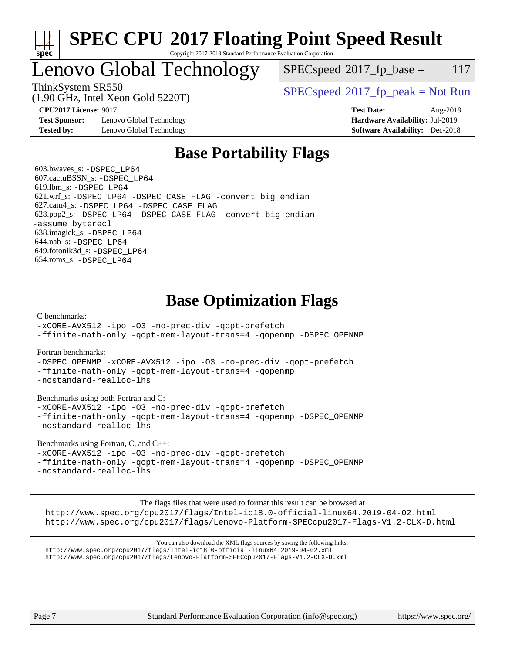

#### **[SPEC CPU](http://www.spec.org/auto/cpu2017/Docs/result-fields.html#SPECCPU2017FloatingPointSpeedResult)[2017 Floating Point Speed Result](http://www.spec.org/auto/cpu2017/Docs/result-fields.html#SPECCPU2017FloatingPointSpeedResult)** Copyright 2017-2019 Standard Performance Evaluation Corporation

## Lenovo Global Technology

 $SPEC speed^{\circ}2017\_fp\_base = 117$ 

(1.90 GHz, Intel Xeon Gold 5220T)

ThinkSystem SR550<br>  $\begin{array}{c}\n\text{SPEC speed} \text{?}2017 \text{ fp\_peak} = \text{Not Run} \\
\text{SPEC speed} \text{?}2017 \text{ fp\_peak} = \text{Not Run} \\
\end{array}$ 

**[Test Sponsor:](http://www.spec.org/auto/cpu2017/Docs/result-fields.html#TestSponsor)** Lenovo Global Technology **[Hardware Availability:](http://www.spec.org/auto/cpu2017/Docs/result-fields.html#HardwareAvailability)** Jul-2019 **[Tested by:](http://www.spec.org/auto/cpu2017/Docs/result-fields.html#Testedby)** Lenovo Global Technology **[Software Availability:](http://www.spec.org/auto/cpu2017/Docs/result-fields.html#SoftwareAvailability)** Dec-2018

**[CPU2017 License:](http://www.spec.org/auto/cpu2017/Docs/result-fields.html#CPU2017License)** 9017 **[Test Date:](http://www.spec.org/auto/cpu2017/Docs/result-fields.html#TestDate)** Aug-2019

## **[Base Portability Flags](http://www.spec.org/auto/cpu2017/Docs/result-fields.html#BasePortabilityFlags)**

 603.bwaves\_s: [-DSPEC\\_LP64](http://www.spec.org/cpu2017/results/res2019q3/cpu2017-20190819-17154.flags.html#suite_basePORTABILITY603_bwaves_s_DSPEC_LP64) 607.cactuBSSN\_s: [-DSPEC\\_LP64](http://www.spec.org/cpu2017/results/res2019q3/cpu2017-20190819-17154.flags.html#suite_basePORTABILITY607_cactuBSSN_s_DSPEC_LP64) 619.lbm\_s: [-DSPEC\\_LP64](http://www.spec.org/cpu2017/results/res2019q3/cpu2017-20190819-17154.flags.html#suite_basePORTABILITY619_lbm_s_DSPEC_LP64) 621.wrf\_s: [-DSPEC\\_LP64](http://www.spec.org/cpu2017/results/res2019q3/cpu2017-20190819-17154.flags.html#suite_basePORTABILITY621_wrf_s_DSPEC_LP64) [-DSPEC\\_CASE\\_FLAG](http://www.spec.org/cpu2017/results/res2019q3/cpu2017-20190819-17154.flags.html#b621.wrf_s_baseCPORTABILITY_DSPEC_CASE_FLAG) [-convert big\\_endian](http://www.spec.org/cpu2017/results/res2019q3/cpu2017-20190819-17154.flags.html#user_baseFPORTABILITY621_wrf_s_convert_big_endian_c3194028bc08c63ac5d04de18c48ce6d347e4e562e8892b8bdbdc0214820426deb8554edfa529a3fb25a586e65a3d812c835984020483e7e73212c4d31a38223) 627.cam4\_s: [-DSPEC\\_LP64](http://www.spec.org/cpu2017/results/res2019q3/cpu2017-20190819-17154.flags.html#suite_basePORTABILITY627_cam4_s_DSPEC_LP64) [-DSPEC\\_CASE\\_FLAG](http://www.spec.org/cpu2017/results/res2019q3/cpu2017-20190819-17154.flags.html#b627.cam4_s_baseCPORTABILITY_DSPEC_CASE_FLAG) 628.pop2\_s: [-DSPEC\\_LP64](http://www.spec.org/cpu2017/results/res2019q3/cpu2017-20190819-17154.flags.html#suite_basePORTABILITY628_pop2_s_DSPEC_LP64) [-DSPEC\\_CASE\\_FLAG](http://www.spec.org/cpu2017/results/res2019q3/cpu2017-20190819-17154.flags.html#b628.pop2_s_baseCPORTABILITY_DSPEC_CASE_FLAG) [-convert big\\_endian](http://www.spec.org/cpu2017/results/res2019q3/cpu2017-20190819-17154.flags.html#user_baseFPORTABILITY628_pop2_s_convert_big_endian_c3194028bc08c63ac5d04de18c48ce6d347e4e562e8892b8bdbdc0214820426deb8554edfa529a3fb25a586e65a3d812c835984020483e7e73212c4d31a38223) [-assume byterecl](http://www.spec.org/cpu2017/results/res2019q3/cpu2017-20190819-17154.flags.html#user_baseFPORTABILITY628_pop2_s_assume_byterecl_7e47d18b9513cf18525430bbf0f2177aa9bf368bc7a059c09b2c06a34b53bd3447c950d3f8d6c70e3faf3a05c8557d66a5798b567902e8849adc142926523472) 638.imagick\_s: [-DSPEC\\_LP64](http://www.spec.org/cpu2017/results/res2019q3/cpu2017-20190819-17154.flags.html#suite_basePORTABILITY638_imagick_s_DSPEC_LP64) 644.nab\_s: [-DSPEC\\_LP64](http://www.spec.org/cpu2017/results/res2019q3/cpu2017-20190819-17154.flags.html#suite_basePORTABILITY644_nab_s_DSPEC_LP64) 649.fotonik3d\_s: [-DSPEC\\_LP64](http://www.spec.org/cpu2017/results/res2019q3/cpu2017-20190819-17154.flags.html#suite_basePORTABILITY649_fotonik3d_s_DSPEC_LP64) 654.roms\_s: [-DSPEC\\_LP64](http://www.spec.org/cpu2017/results/res2019q3/cpu2017-20190819-17154.flags.html#suite_basePORTABILITY654_roms_s_DSPEC_LP64)

## **[Base Optimization Flags](http://www.spec.org/auto/cpu2017/Docs/result-fields.html#BaseOptimizationFlags)**

[C benchmarks](http://www.spec.org/auto/cpu2017/Docs/result-fields.html#Cbenchmarks):

[-xCORE-AVX512](http://www.spec.org/cpu2017/results/res2019q3/cpu2017-20190819-17154.flags.html#user_CCbase_f-xCORE-AVX512) [-ipo](http://www.spec.org/cpu2017/results/res2019q3/cpu2017-20190819-17154.flags.html#user_CCbase_f-ipo) [-O3](http://www.spec.org/cpu2017/results/res2019q3/cpu2017-20190819-17154.flags.html#user_CCbase_f-O3) [-no-prec-div](http://www.spec.org/cpu2017/results/res2019q3/cpu2017-20190819-17154.flags.html#user_CCbase_f-no-prec-div) [-qopt-prefetch](http://www.spec.org/cpu2017/results/res2019q3/cpu2017-20190819-17154.flags.html#user_CCbase_f-qopt-prefetch) [-ffinite-math-only](http://www.spec.org/cpu2017/results/res2019q3/cpu2017-20190819-17154.flags.html#user_CCbase_f_finite_math_only_cb91587bd2077682c4b38af759c288ed7c732db004271a9512da14a4f8007909a5f1427ecbf1a0fb78ff2a814402c6114ac565ca162485bbcae155b5e4258871) [-qopt-mem-layout-trans=4](http://www.spec.org/cpu2017/results/res2019q3/cpu2017-20190819-17154.flags.html#user_CCbase_f-qopt-mem-layout-trans_fa39e755916c150a61361b7846f310bcdf6f04e385ef281cadf3647acec3f0ae266d1a1d22d972a7087a248fd4e6ca390a3634700869573d231a252c784941a8) [-qopenmp](http://www.spec.org/cpu2017/results/res2019q3/cpu2017-20190819-17154.flags.html#user_CCbase_qopenmp_16be0c44f24f464004c6784a7acb94aca937f053568ce72f94b139a11c7c168634a55f6653758ddd83bcf7b8463e8028bb0b48b77bcddc6b78d5d95bb1df2967) [-DSPEC\\_OPENMP](http://www.spec.org/cpu2017/results/res2019q3/cpu2017-20190819-17154.flags.html#suite_CCbase_DSPEC_OPENMP)

[Fortran benchmarks](http://www.spec.org/auto/cpu2017/Docs/result-fields.html#Fortranbenchmarks):

[-DSPEC\\_OPENMP](http://www.spec.org/cpu2017/results/res2019q3/cpu2017-20190819-17154.flags.html#suite_FCbase_DSPEC_OPENMP) [-xCORE-AVX512](http://www.spec.org/cpu2017/results/res2019q3/cpu2017-20190819-17154.flags.html#user_FCbase_f-xCORE-AVX512) [-ipo](http://www.spec.org/cpu2017/results/res2019q3/cpu2017-20190819-17154.flags.html#user_FCbase_f-ipo) [-O3](http://www.spec.org/cpu2017/results/res2019q3/cpu2017-20190819-17154.flags.html#user_FCbase_f-O3) [-no-prec-div](http://www.spec.org/cpu2017/results/res2019q3/cpu2017-20190819-17154.flags.html#user_FCbase_f-no-prec-div) [-qopt-prefetch](http://www.spec.org/cpu2017/results/res2019q3/cpu2017-20190819-17154.flags.html#user_FCbase_f-qopt-prefetch) [-ffinite-math-only](http://www.spec.org/cpu2017/results/res2019q3/cpu2017-20190819-17154.flags.html#user_FCbase_f_finite_math_only_cb91587bd2077682c4b38af759c288ed7c732db004271a9512da14a4f8007909a5f1427ecbf1a0fb78ff2a814402c6114ac565ca162485bbcae155b5e4258871) [-qopt-mem-layout-trans=4](http://www.spec.org/cpu2017/results/res2019q3/cpu2017-20190819-17154.flags.html#user_FCbase_f-qopt-mem-layout-trans_fa39e755916c150a61361b7846f310bcdf6f04e385ef281cadf3647acec3f0ae266d1a1d22d972a7087a248fd4e6ca390a3634700869573d231a252c784941a8) [-qopenmp](http://www.spec.org/cpu2017/results/res2019q3/cpu2017-20190819-17154.flags.html#user_FCbase_qopenmp_16be0c44f24f464004c6784a7acb94aca937f053568ce72f94b139a11c7c168634a55f6653758ddd83bcf7b8463e8028bb0b48b77bcddc6b78d5d95bb1df2967) [-nostandard-realloc-lhs](http://www.spec.org/cpu2017/results/res2019q3/cpu2017-20190819-17154.flags.html#user_FCbase_f_2003_std_realloc_82b4557e90729c0f113870c07e44d33d6f5a304b4f63d4c15d2d0f1fab99f5daaed73bdb9275d9ae411527f28b936061aa8b9c8f2d63842963b95c9dd6426b8a)

[Benchmarks using both Fortran and C](http://www.spec.org/auto/cpu2017/Docs/result-fields.html#BenchmarksusingbothFortranandC):

[-xCORE-AVX512](http://www.spec.org/cpu2017/results/res2019q3/cpu2017-20190819-17154.flags.html#user_CC_FCbase_f-xCORE-AVX512) [-ipo](http://www.spec.org/cpu2017/results/res2019q3/cpu2017-20190819-17154.flags.html#user_CC_FCbase_f-ipo) [-O3](http://www.spec.org/cpu2017/results/res2019q3/cpu2017-20190819-17154.flags.html#user_CC_FCbase_f-O3) [-no-prec-div](http://www.spec.org/cpu2017/results/res2019q3/cpu2017-20190819-17154.flags.html#user_CC_FCbase_f-no-prec-div) [-qopt-prefetch](http://www.spec.org/cpu2017/results/res2019q3/cpu2017-20190819-17154.flags.html#user_CC_FCbase_f-qopt-prefetch) [-ffinite-math-only](http://www.spec.org/cpu2017/results/res2019q3/cpu2017-20190819-17154.flags.html#user_CC_FCbase_f_finite_math_only_cb91587bd2077682c4b38af759c288ed7c732db004271a9512da14a4f8007909a5f1427ecbf1a0fb78ff2a814402c6114ac565ca162485bbcae155b5e4258871) [-qopt-mem-layout-trans=4](http://www.spec.org/cpu2017/results/res2019q3/cpu2017-20190819-17154.flags.html#user_CC_FCbase_f-qopt-mem-layout-trans_fa39e755916c150a61361b7846f310bcdf6f04e385ef281cadf3647acec3f0ae266d1a1d22d972a7087a248fd4e6ca390a3634700869573d231a252c784941a8) [-qopenmp](http://www.spec.org/cpu2017/results/res2019q3/cpu2017-20190819-17154.flags.html#user_CC_FCbase_qopenmp_16be0c44f24f464004c6784a7acb94aca937f053568ce72f94b139a11c7c168634a55f6653758ddd83bcf7b8463e8028bb0b48b77bcddc6b78d5d95bb1df2967) [-DSPEC\\_OPENMP](http://www.spec.org/cpu2017/results/res2019q3/cpu2017-20190819-17154.flags.html#suite_CC_FCbase_DSPEC_OPENMP) [-nostandard-realloc-lhs](http://www.spec.org/cpu2017/results/res2019q3/cpu2017-20190819-17154.flags.html#user_CC_FCbase_f_2003_std_realloc_82b4557e90729c0f113870c07e44d33d6f5a304b4f63d4c15d2d0f1fab99f5daaed73bdb9275d9ae411527f28b936061aa8b9c8f2d63842963b95c9dd6426b8a)

[Benchmarks using Fortran, C, and C++:](http://www.spec.org/auto/cpu2017/Docs/result-fields.html#BenchmarksusingFortranCandCXX)

[-xCORE-AVX512](http://www.spec.org/cpu2017/results/res2019q3/cpu2017-20190819-17154.flags.html#user_CC_CXX_FCbase_f-xCORE-AVX512) [-ipo](http://www.spec.org/cpu2017/results/res2019q3/cpu2017-20190819-17154.flags.html#user_CC_CXX_FCbase_f-ipo) [-O3](http://www.spec.org/cpu2017/results/res2019q3/cpu2017-20190819-17154.flags.html#user_CC_CXX_FCbase_f-O3) [-no-prec-div](http://www.spec.org/cpu2017/results/res2019q3/cpu2017-20190819-17154.flags.html#user_CC_CXX_FCbase_f-no-prec-div) [-qopt-prefetch](http://www.spec.org/cpu2017/results/res2019q3/cpu2017-20190819-17154.flags.html#user_CC_CXX_FCbase_f-qopt-prefetch) [-ffinite-math-only](http://www.spec.org/cpu2017/results/res2019q3/cpu2017-20190819-17154.flags.html#user_CC_CXX_FCbase_f_finite_math_only_cb91587bd2077682c4b38af759c288ed7c732db004271a9512da14a4f8007909a5f1427ecbf1a0fb78ff2a814402c6114ac565ca162485bbcae155b5e4258871) [-qopt-mem-layout-trans=4](http://www.spec.org/cpu2017/results/res2019q3/cpu2017-20190819-17154.flags.html#user_CC_CXX_FCbase_f-qopt-mem-layout-trans_fa39e755916c150a61361b7846f310bcdf6f04e385ef281cadf3647acec3f0ae266d1a1d22d972a7087a248fd4e6ca390a3634700869573d231a252c784941a8) [-qopenmp](http://www.spec.org/cpu2017/results/res2019q3/cpu2017-20190819-17154.flags.html#user_CC_CXX_FCbase_qopenmp_16be0c44f24f464004c6784a7acb94aca937f053568ce72f94b139a11c7c168634a55f6653758ddd83bcf7b8463e8028bb0b48b77bcddc6b78d5d95bb1df2967) [-DSPEC\\_OPENMP](http://www.spec.org/cpu2017/results/res2019q3/cpu2017-20190819-17154.flags.html#suite_CC_CXX_FCbase_DSPEC_OPENMP) [-nostandard-realloc-lhs](http://www.spec.org/cpu2017/results/res2019q3/cpu2017-20190819-17154.flags.html#user_CC_CXX_FCbase_f_2003_std_realloc_82b4557e90729c0f113870c07e44d33d6f5a304b4f63d4c15d2d0f1fab99f5daaed73bdb9275d9ae411527f28b936061aa8b9c8f2d63842963b95c9dd6426b8a)

[The flags files that were used to format this result can be browsed at](tmsearch)

<http://www.spec.org/cpu2017/flags/Intel-ic18.0-official-linux64.2019-04-02.html> <http://www.spec.org/cpu2017/flags/Lenovo-Platform-SPECcpu2017-Flags-V1.2-CLX-D.html>

[You can also download the XML flags sources by saving the following links:](tmsearch) <http://www.spec.org/cpu2017/flags/Intel-ic18.0-official-linux64.2019-04-02.xml> <http://www.spec.org/cpu2017/flags/Lenovo-Platform-SPECcpu2017-Flags-V1.2-CLX-D.xml>